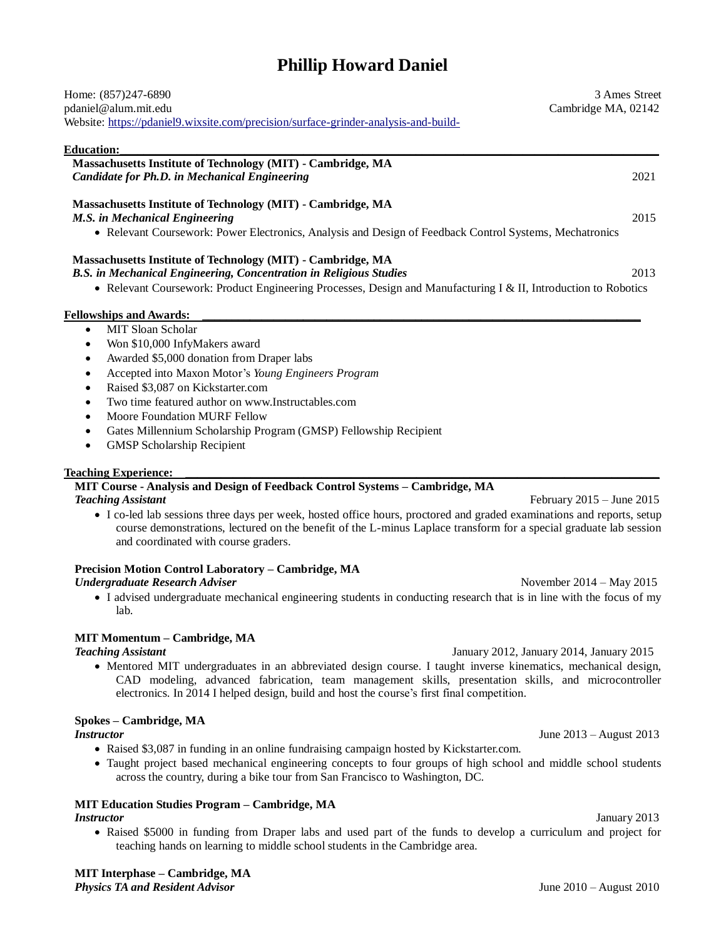# **Phillip Howard Daniel**

| Home: (857)247-6890<br>pdaniel@alum.mit.edu<br>Website: https://pdaniel9.wixsite.com/precision/surface-grinder-analysis-and-build-                                                                                                                                                                                                                                                                                                   | 3 Ames Street<br>Cambridge MA, 02142 |
|--------------------------------------------------------------------------------------------------------------------------------------------------------------------------------------------------------------------------------------------------------------------------------------------------------------------------------------------------------------------------------------------------------------------------------------|--------------------------------------|
|                                                                                                                                                                                                                                                                                                                                                                                                                                      |                                      |
| Education:<br>Massachusetts Institute of Technology (MIT) - Cambridge, MA<br>Candidate for Ph.D. in Mechanical Engineering                                                                                                                                                                                                                                                                                                           | 2021                                 |
| Massachusetts Institute of Technology (MIT) - Cambridge, MA<br>M.S. in Mechanical Engineering                                                                                                                                                                                                                                                                                                                                        | 2015                                 |
| • Relevant Coursework: Power Electronics, Analysis and Design of Feedback Control Systems, Mechatronics                                                                                                                                                                                                                                                                                                                              |                                      |
| Massachusetts Institute of Technology (MIT) - Cambridge, MA<br>B.S. in Mechanical Engineering, Concentration in Religious Studies<br>• Relevant Coursework: Product Engineering Processes, Design and Manufacturing I & II, Introduction to Robotics                                                                                                                                                                                 | 2013                                 |
| <b>Fellowships and Awards:</b>                                                                                                                                                                                                                                                                                                                                                                                                       |                                      |
| <b>MIT Sloan Scholar</b><br>Won \$10,000 InfyMakers award<br>Awarded \$5,000 donation from Draper labs<br>Accepted into Maxon Motor's Young Engineers Program<br>Raised \$3,087 on Kickstarter.com<br>Two time featured author on www.Instructables.com<br>Moore Foundation MURF Fellow<br>Gates Millennium Scholarship Program (GMSP) Fellowship Recipient<br><b>GMSP Scholarship Recipient</b><br>$\bullet$                        |                                      |
| <b>Teaching Experience:</b>                                                                                                                                                                                                                                                                                                                                                                                                          |                                      |
| MIT Course - Analysis and Design of Feedback Control Systems - Cambridge, MA<br><b>Teaching Assistant</b><br>• I co-led lab sessions three days per week, hosted office hours, proctored and graded examinations and reports, setup<br>course demonstrations, lectured on the benefit of the L-minus Laplace transform for a special graduate lab session<br>and coordinated with course graders.                                    | February $2015 -$ June $2015$        |
| Precision Motion Control Laboratory - Cambridge, MA                                                                                                                                                                                                                                                                                                                                                                                  |                                      |
| <b>Undergraduate Research Adviser</b><br>November $2014 - May 2015$<br>• I advised undergraduate mechanical engineering students in conducting research that is in line with the focus of my<br>lab.                                                                                                                                                                                                                                 |                                      |
| <b>MIT Momentum - Cambridge, MA</b><br><b>Teaching Assistant</b><br>January 2012, January 2014, January 2015<br>• Mentored MIT undergraduates in an abbreviated design course. I taught inverse kinematics, mechanical design,<br>CAD modeling, advanced fabrication, team management skills, presentation skills, and microcontroller<br>electronics. In 2014 I helped design, build and host the course's first final competition. |                                      |
| Spokes - Cambridge, MA                                                                                                                                                                                                                                                                                                                                                                                                               |                                      |
| <i><b>Instructor</b></i><br>• Raised \$3,087 in funding in an online fundraising campaign hosted by Kickstarter.com.<br>• Taught project based mechanical engineering concepts to four groups of high school and middle school students<br>across the country, during a bike tour from San Francisco to Washington, DC.                                                                                                              | June 2013 - August 2013              |
| <b>MIT Education Studies Program - Cambridge, MA</b>                                                                                                                                                                                                                                                                                                                                                                                 |                                      |
| <i>Instructor</i><br>• Raised \$5000 in funding from Draper labs and used part of the funds to develop a curriculum and project for<br>teaching hands on learning to middle school students in the Cambridge area.                                                                                                                                                                                                                   | January 2013                         |
|                                                                                                                                                                                                                                                                                                                                                                                                                                      |                                      |

**MIT Interphase – Cambridge, MA**  *Physics TA and Resident Advisor* June 2010 – August 2010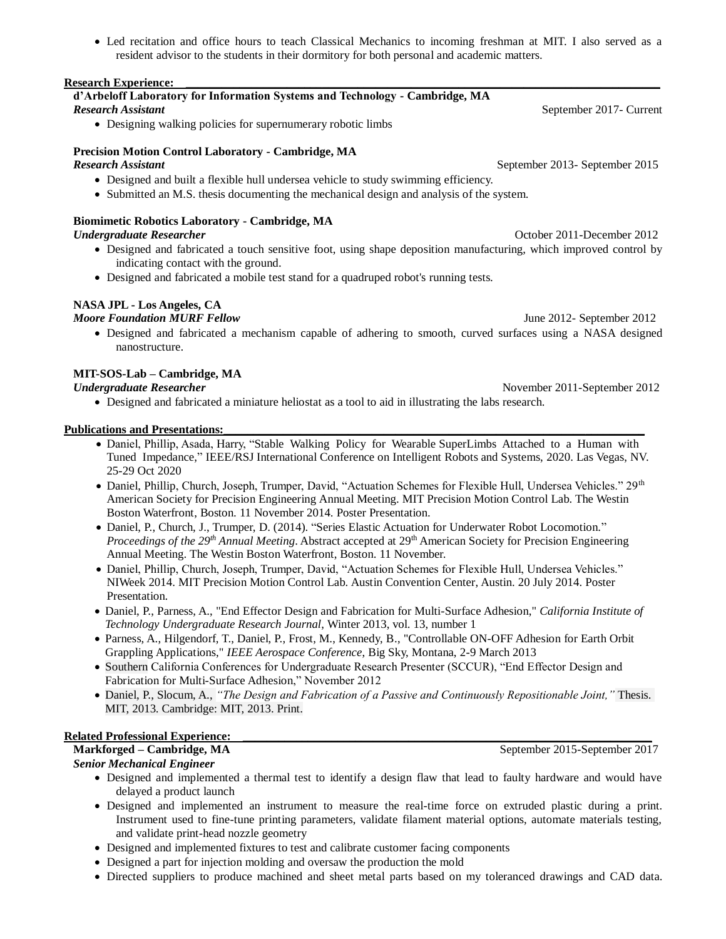Led recitation and office hours to teach Classical Mechanics to incoming freshman at MIT. I also served as a resident advisor to the students in their dormitory for both personal and academic matters.

### **Research Experience:**

#### **d'Arbeloff Laboratory for Information Systems and Technology - Cambridge, MA Research Assistant** September 2017- Current

Designing walking policies for supernumerary robotic limbs

# **Precision Motion Control Laboratory - Cambridge, MA**

- Designed and built a flexible hull undersea vehicle to study swimming efficiency.
- Submitted an M.S. thesis documenting the mechanical design and analysis of the system.

# **Biomimetic Robotics Laboratory - Cambridge, MA**

- Designed and fabricated a touch sensitive foot, using shape deposition manufacturing, which improved control by indicating contact with the ground.
- Designed and fabricated a mobile test stand for a quadruped robot's running tests.

# **NASA JPL - Los Angeles, CA**

# *Moore Foundation MURF Fellow June 2012- September 2012*

 Designed and fabricated a mechanism capable of adhering to smooth, curved surfaces using a NASA designed nanostructure.

# **MIT-SOS-Lab – Cambridge, MA**

Designed and fabricated a miniature heliostat as a tool to aid in illustrating the labs research.

## Publications and Presentations:

- Daniel, Phillip, Asada, Harry, "Stable Walking Policy for Wearable SuperLimbs Attached to a Human with Tuned Impedance," IEEE/RSJ International Conference on Intelligent Robots and Systems, 2020. Las Vegas, NV. 25-29 Oct 2020
- Daniel, Phillip, Church, Joseph, Trumper, David, "Actuation Schemes for Flexible Hull, Undersea Vehicles." 29<sup>th</sup> American Society for Precision Engineering Annual Meeting. MIT Precision Motion Control Lab. The Westin Boston Waterfront, Boston. 11 November 2014. Poster Presentation.
- Daniel, P., Church, J., Trumper, D. (2014). "Series Elastic Actuation for Underwater Robot Locomotion." *Proceedings of the 29th Annual Meeting*. Abstract accepted at 29th American Society for Precision Engineering Annual Meeting. The Westin Boston Waterfront, Boston. 11 November.
- Daniel, Phillip, Church, Joseph, Trumper, David, "Actuation Schemes for Flexible Hull, Undersea Vehicles." NIWeek 2014. MIT Precision Motion Control Lab. Austin Convention Center, Austin. 20 July 2014. Poster Presentation.
- Daniel, P., Parness, A., "End Effector Design and Fabrication for Multi-Surface Adhesion," *California Institute of Technology Undergraduate Research Journal*, Winter 2013, vol. 13, number 1
- Parness, A., Hilgendorf, T., Daniel, P., Frost, M., Kennedy, B., "Controllable ON-OFF Adhesion for Earth Orbit Grappling Applications," *IEEE Aerospace Conference*, Big Sky, Montana, 2-9 March 2013
- Southern California Conferences for Undergraduate Research Presenter (SCCUR), "End Effector Design and Fabrication for Multi-Surface Adhesion," November 2012
- Daniel, P., Slocum, A., *"The Design and Fabrication of a Passive and Continuously Repositionable Joint,"* Thesis. MIT, 2013. Cambridge: MIT, 2013. Print.

# **Related Professional Experience:**<br>Markforged – Cambridge, MA

## *Senior Mechanical Engineer*

- Designed and implemented a thermal test to identify a design flaw that lead to faulty hardware and would have delayed a product launch
- Designed and implemented an instrument to measure the real-time force on extruded plastic during a print. Instrument used to fine-tune printing parameters, validate filament material options, automate materials testing, and validate print-head nozzle geometry
- Designed and implemented fixtures to test and calibrate customer facing components
- Designed a part for injection molding and oversaw the production the mold
- Directed suppliers to produce machined and sheet metal parts based on my toleranced drawings and CAD data.

*Research Assistant* September 2013- September 2015

*Undergraduate Researcher*October 2011-December 2012

*Undergraduate Researcher Undergraduate Researcher November 2011-September 2012* 

September 2015-September 2017